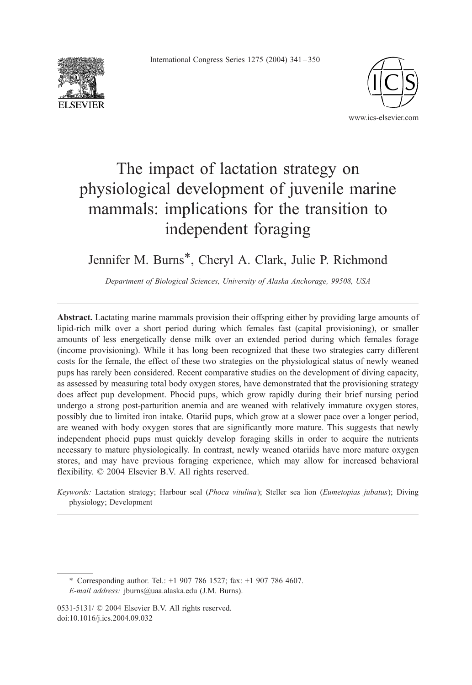International Congress Series 1275 (2004) 341 – 350





# The impact of lactation strategy on physiological development of juvenile marine mammals: implications for the transition to independent foraging

# Jennifer M. Burns\*, Cheryl A. Clark, Julie P. Richmond

Department of Biological Sciences, University of Alaska Anchorage, 99508, USA

Abstract. Lactating marine mammals provision their offspring either by providing large amounts of lipid-rich milk over a short period during which females fast (capital provisioning), or smaller amounts of less energetically dense milk over an extended period during which females forage (income provisioning). While it has long been recognized that these two strategies carry different costs for the female, the effect of these two strategies on the physiological status of newly weaned pups has rarely been considered. Recent comparative studies on the development of diving capacity, as assessed by measuring total body oxygen stores, have demonstrated that the provisioning strategy does affect pup development. Phocid pups, which grow rapidly during their brief nursing period undergo a strong post-parturition anemia and are weaned with relatively immature oxygen stores, possibly due to limited iron intake. Otariid pups, which grow at a slower pace over a longer period, are weaned with body oxygen stores that are significantly more mature. This suggests that newly independent phocid pups must quickly develop foraging skills in order to acquire the nutrients necessary to mature physiologically. In contrast, newly weaned otariids have more mature oxygen stores, and may have previous foraging experience, which may allow for increased behavioral flexibility.  $\odot$  2004 Elsevier B.V. All rights reserved.

Keywords: Lactation strategy; Harbour seal (Phoca vitulina); Steller sea lion (Eumetopias jubatus); Diving physiology; Development

\* Corresponding author. Tel.: +1 907 786 1527; fax: +1 907 786 4607. E-mail address: jburns@uaa.alaska.edu (J.M. Burns).

<sup>0531-5131/ © 2004</sup> Elsevier B.V. All rights reserved. doi:10.1016/j.ics.2004.09.032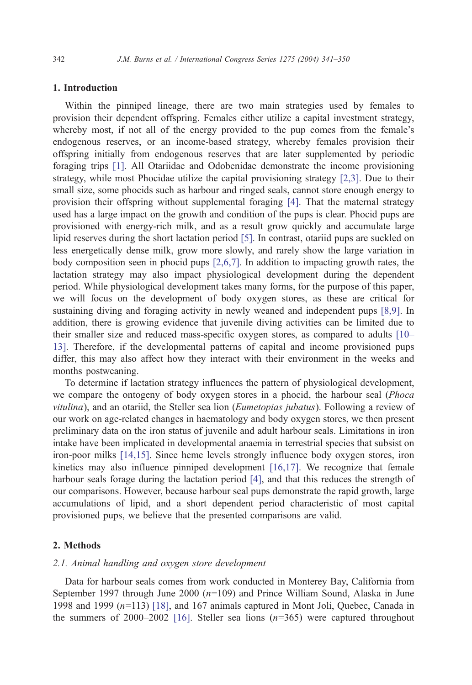# 1. Introduction

Within the pinniped lineage, there are two main strategies used by females to provision their dependent offspring. Females either utilize a capital investment strategy, whereby most, if not all of the energy provided to the pup comes from the female's endogenous reserves, or an income-based strategy, whereby females provision their offspring initially from endogenous reserves that are later supplemented by periodic foraging trips [\[1\].](#page-7-0) All Otariidae and Odobenidae demonstrate the income provisioning strategy, while most Phocidae utilize the capital provisioning strategy [\[2,3\].](#page-7-0) Due to their small size, some phocids such as harbour and ringed seals, cannot store enough energy to provision their offspring without supplemental foraging [\[4\].](#page-7-0) That the maternal strategy used has a large impact on the growth and condition of the pups is clear. Phocid pups are provisioned with energy-rich milk, and as a result grow quickly and accumulate large lipid reserves during the short lactation period [\[5\].](#page-7-0) In contrast, otariid pups are suckled on less energetically dense milk, grow more slowly, and rarely show the large variation in body composition seen in phocid pups [\[2,6,7\].](#page-7-0) In addition to impacting growth rates, the lactation strategy may also impact physiological development during the dependent period. While physiological development takes many forms, for the purpose of this paper, we will focus on the development of body oxygen stores, as these are critical for sustaining diving and foraging activity in newly weaned and independent pups [\[8,9\].](#page-7-0) In addition, there is growing evidence that juvenile diving activities can be limited due to their smaller size and reduced mass-specific oxygen stores, as compared to adults [\[10–](#page-7-0) 13]. Therefore, if the developmental patterns of capital and income provisioned pups differ, this may also affect how they interact with their environment in the weeks and months postweaning.

To determine if lactation strategy influences the pattern of physiological development, we compare the ontogeny of body oxygen stores in a phocid, the harbour seal (Phoca vitulina), and an otariid, the Steller sea lion (Eumetopias jubatus). Following a review of our work on age-related changes in haematology and body oxygen stores, we then present preliminary data on the iron status of juvenile and adult harbour seals. Limitations in iron intake have been implicated in developmental anaemia in terrestrial species that subsist on iron-poor milks [\[14,15\].](#page-7-0) Since heme levels strongly influence body oxygen stores, iron kinetics may also influence pinniped development [\[16,17\].](#page-7-0) We recognize that female harbour seals forage during the lactation period [\[4\],](#page-7-0) and that this reduces the strength of our comparisons. However, because harbour seal pups demonstrate the rapid growth, large accumulations of lipid, and a short dependent period characteristic of most capital provisioned pups, we believe that the presented comparisons are valid.

# 2. Methods

# 2.1. Animal handling and oxygen store development

Data for harbour seals comes from work conducted in Monterey Bay, California from September 1997 through June 2000  $(n=109)$  and Prince William Sound, Alaska in June 1998 and 1999  $(n=113)$  [\[18\],](#page-7-0) and 167 animals captured in Mont Joli, Quebec, Canada in the summers of 2000–2002 [\[16\].](#page-7-0) Steller sea lions  $(n=365)$  were captured throughout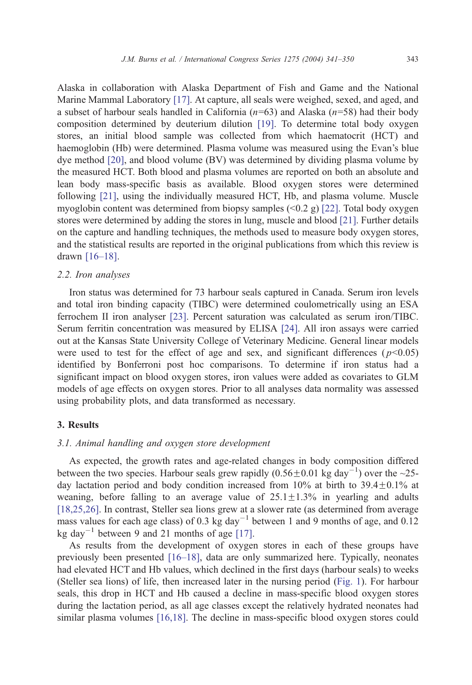Alaska in collaboration with Alaska Department of Fish and Game and the National Marine Mammal Laboratory [\[17\].](#page-7-0) At capture, all seals were weighed, sexed, and aged, and a subset of harbour seals handled in California ( $n=63$ ) and Alaska ( $n=58$ ) had their body composition determined by deuterium dilution [\[19\].](#page-7-0) To determine total body oxygen stores, an initial blood sample was collected from which haematocrit (HCT) and haemoglobin (Hb) were determined. Plasma volume was measured using the Evan's blue dye method [\[20\],](#page-8-0) and blood volume (BV) was determined by dividing plasma volume by the measured HCT. Both blood and plasma volumes are reported on both an absolute and lean body mass-specific basis as available. Blood oxygen stores were determined following [\[21\],](#page-8-0) using the individually measured HCT, Hb, and plasma volume. Muscle myoglobin content was determined from biopsy samples  $(0.2 \text{ g})$  [\[22\].](#page-8-0) Total body oxygen stores were determined by adding the stores in lung, muscle and blood [\[21\].](#page-8-0) Further details on the capture and handling techniques, the methods used to measure body oxygen stores, and the statistical results are reported in the original publications from which this review is drawn [\[16–18\].](#page-7-0)

### 2.2. Iron analyses

Iron status was determined for 73 harbour seals captured in Canada. Serum iron levels and total iron binding capacity (TIBC) were determined coulometrically using an ESA ferrochem II iron analyser [\[23\].](#page-8-0) Percent saturation was calculated as serum iron/TIBC. Serum ferritin concentration was measured by ELISA [\[24\].](#page-8-0) All iron assays were carried out at the Kansas State University College of Veterinary Medicine. General linear models were used to test for the effect of age and sex, and significant differences ( $p<0.05$ ) identified by Bonferroni post hoc comparisons. To determine if iron status had a significant impact on blood oxygen stores, iron values were added as covariates to GLM models of age effects on oxygen stores. Prior to all analyses data normality was assessed using probability plots, and data transformed as necessary.

# 3. Results

# 3.1. Animal handling and oxygen store development

As expected, the growth rates and age-related changes in body composition differed between the two species. Harbour seals grew rapidly  $(0.56 \pm 0.01 \text{ kg day}^{-1})$  over the ~25day lactation period and body condition increased from  $10\%$  at birth to  $39.4\pm0.1\%$  at weaning, before falling to an average value of  $25.1 \pm 1.3\%$  in yearling and adults [\[18,25,26\]](#page-7-0). In contrast, Steller sea lions grew at a slower rate (as determined from average mass values for each age class) of 0.3 kg day<sup>-1</sup> between 1 and 9 months of age, and 0.12 kg day<sup>-1</sup> between 9 and 21 months of age [\[17\].](#page-7-0)

As results from the development of oxygen stores in each of these groups have previously been presented [\[16–18\],](#page-7-0) data are only summarized here. Typically, neonates had elevated HCT and Hb values, which declined in the first days (harbour seals) to weeks (Steller sea lions) of life, then increased later in the nursing period ([Fig. 1\)](#page-3-0). For harbour seals, this drop in HCT and Hb caused a decline in mass-specific blood oxygen stores during the lactation period, as all age classes except the relatively hydrated neonates had similar plasma volumes [\[16,18\].](#page-7-0) The decline in mass-specific blood oxygen stores could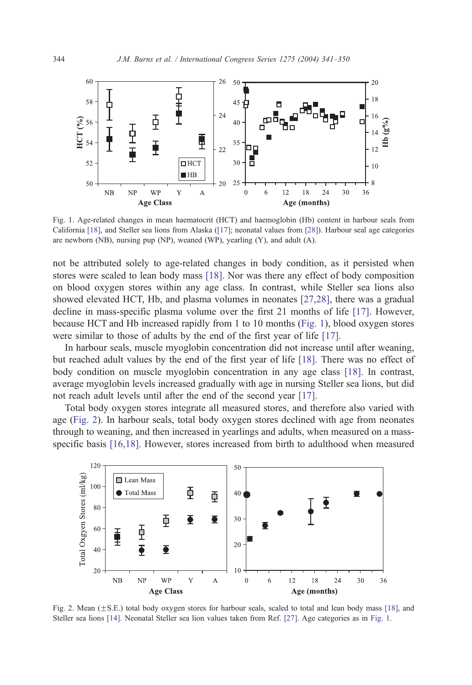<span id="page-3-0"></span>

Fig. 1. Age-related changes in mean haematocrit (HCT) and haemoglobin (Hb) content in harbour seals from California [\[18\],](#page-7-0) and Steller sea lions from Alaska ([\[17\];](#page-7-0) neonatal values from [\[28\]\)](#page-8-0). Harbour seal age categories are newborn (NB), nursing pup (NP), weaned (WP), yearling (Y), and adult (A).

not be attributed solely to age-related changes in body condition, as it persisted when stores were scaled to lean body mass [\[18\].](#page-7-0) Nor was there any effect of body composition on blood oxygen stores within any age class. In contrast, while Steller sea lions also showed elevated HCT, Hb, and plasma volumes in neonates [\[27,28\],](#page-8-0) there was a gradual decline in mass-specific plasma volume over the first 21 months of life [\[17\].](#page-7-0) However, because HCT and Hb increased rapidly from 1 to 10 months (Fig. 1), blood oxygen stores were similar to those of adults by the end of the first year of life [\[17\].](#page-7-0)

In harbour seals, muscle myoglobin concentration did not increase until after weaning, but reached adult values by the end of the first year of life [\[18\].](#page-7-0) There was no effect of body condition on muscle myoglobin concentration in any age class [\[18\].](#page-7-0) In contrast, average myoglobin levels increased gradually with age in nursing Steller sea lions, but did not reach adult levels until after the end of the second year [\[17\].](#page-7-0)

Total body oxygen stores integrate all measured stores, and therefore also varied with age (Fig. 2). In harbour seals, total body oxygen stores declined with age from neonates through to weaning, and then increased in yearlings and adults, when measured on a massspecific basis [\[16,18\].](#page-7-0) However, stores increased from birth to adulthood when measured



Fig. 2. Mean  $(\pm S.E.)$  total body oxygen stores for harbour seals, scaled to total and lean body mass [\[18\],](#page-7-0) and Steller sea lions [\[14\].](#page-7-0) Neonatal Steller sea lion values taken from Ref. [\[27\].](#page-8-0) Age categories as in Fig. 1.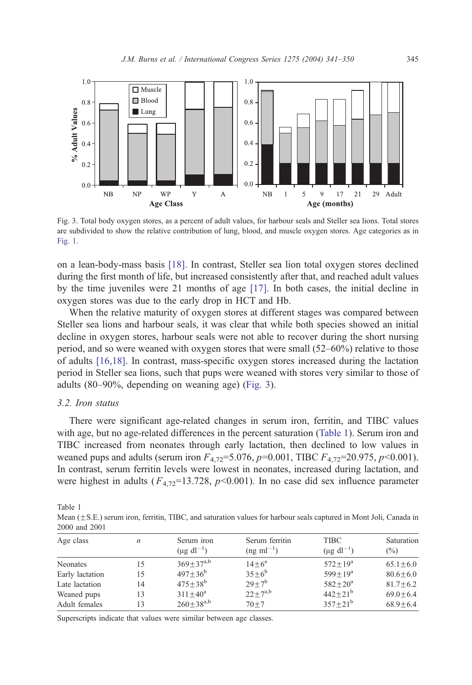

Fig. 3. Total body oxygen stores, as a percent of adult values, for harbour seals and Steller sea lions. Total stores are subdivided to show the relative contribution of lung, blood, and muscle oxygen stores. Age categories as in [Fig. 1.](#page-3-0)

on a lean-body-mass basis [\[18\].](#page-7-0) In contrast, Steller sea lion total oxygen stores declined during the first month of life, but increased consistently after that, and reached adult values by the time juveniles were 21 months of age [\[17\].](#page-7-0) In both cases, the initial decline in oxygen stores was due to the early drop in HCT and Hb.

When the relative maturity of oxygen stores at different stages was compared between Steller sea lions and harbour seals, it was clear that while both species showed an initial decline in oxygen stores, harbour seals were not able to recover during the short nursing period, and so were weaned with oxygen stores that were small (52–60%) relative to those of adults [\[16,18\].](#page-7-0) In contrast, mass-specific oxygen stores increased during the lactation period in Steller sea lions, such that pups were weaned with stores very similar to those of adults (80–90%, depending on weaning age) (Fig. 3).

### 3.2. Iron status

There were significant age-related changes in serum iron, ferritin, and TIBC values with age, but no age-related differences in the percent saturation (Table 1). Serum iron and TIBC increased from neonates through early lactation, then declined to low values in weaned pups and adults (serum iron  $F_{4,72}=5.076$ ,  $p=0.001$ , TIBC  $F_{4,72}=20.975$ ,  $p<0.001$ ). In contrast, serum ferritin levels were lowest in neonates, increased during lactation, and were highest in adults ( $F_{4,72}=13.728$ ,  $p<0.001$ ). In no case did sex influence parameter

Table 1

Mean (±S.E.) serum iron, ferritin, TIBC, and saturation values for harbour seals captured in Mont Joli, Canada in 2000 and 2001

| Age class       | n  | Serum iron<br>$(\mu g \, \text{dl}^{-1})$ | Serum ferritin<br>$(ng \text{ ml}^{-1})$ | <b>TIBC</b><br>$(\mu g \, \text{d}l^{-1})$ | Saturation<br>$\binom{0}{0}$ |
|-----------------|----|-------------------------------------------|------------------------------------------|--------------------------------------------|------------------------------|
| <b>Neonates</b> | 15 | $369 \pm 37^{a,b}$                        | $14+6^a$                                 | $572 + 19^a$                               | $65.1 + 6.0$                 |
| Early lactation | 15 | $497 + 36^b$                              | $35+6^b$                                 | $599 + 19^a$                               | $80.6 + 6.0$                 |
| Late lactation  | 14 | $475 + 38^b$                              | $29+7^b$                                 | $582 + 20^{\rm a}$                         | $81.7 + 6.2$                 |
| Weaned pups     | 13 | $311 + 40^a$                              | $22+7^{a,b}$                             | $442 + 21^{b}$                             | $69.0 + 6.4$                 |
| Adult females   | 13 | $260 \pm 38^{a,b}$                        | $70 + 7$                                 | $357+21^b$                                 | $68.9 + 6.4$                 |

Superscripts indicate that values were similar between age classes.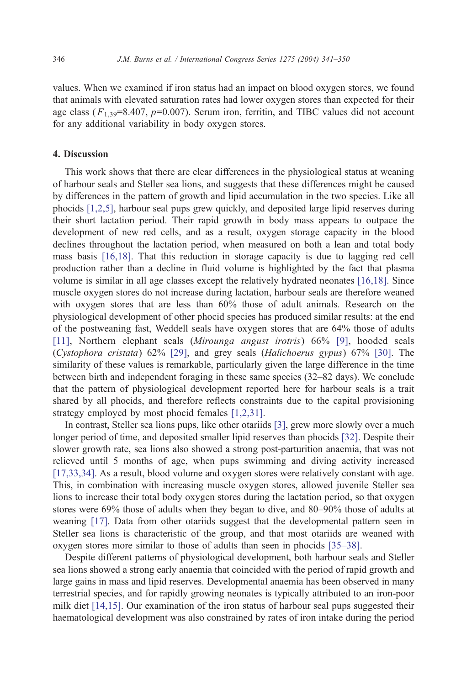values. When we examined if iron status had an impact on blood oxygen stores, we found that animals with elevated saturation rates had lower oxygen stores than expected for their age class ( $F_{1,39}$ =8.407, p=0.007). Serum iron, ferritin, and TIBC values did not account for any additional variability in body oxygen stores.

# 4. Discussion

This work shows that there are clear differences in the physiological status at weaning of harbour seals and Steller sea lions, and suggests that these differences might be caused by differences in the pattern of growth and lipid accumulation in the two species. Like all phocids [\[1,2,5\],](#page-7-0) harbour seal pups grew quickly, and deposited large lipid reserves during their short lactation period. Their rapid growth in body mass appears to outpace the development of new red cells, and as a result, oxygen storage capacity in the blood declines throughout the lactation period, when measured on both a lean and total body mass basis [\[16,18\].](#page-7-0) That this reduction in storage capacity is due to lagging red cell production rather than a decline in fluid volume is highlighted by the fact that plasma volume is similar in all age classes except the relatively hydrated neonates [\[16,18\].](#page-7-0) Since muscle oxygen stores do not increase during lactation, harbour seals are therefore weaned with oxygen stores that are less than 60% those of adult animals. Research on the physiological development of other phocid species has produced similar results: at the end of the postweaning fast, Weddell seals have oxygen stores that are 64% those of adults [\[11\]](#page-7-0), Northern elephant seals (Mirounga angust irotris) 66% [\[9\],](#page-7-0) hooded seals (Cystophora cristata) 62% [\[29\],](#page-8-0) and grey seals (Halichoerus gypus) 67% [\[30\].](#page-8-0) The similarity of these values is remarkable, particularly given the large difference in the time between birth and independent foraging in these same species (32–82 days). We conclude that the pattern of physiological development reported here for harbour seals is a trait shared by all phocids, and therefore reflects constraints due to the capital provisioning strategy employed by most phocid females [\[1,2,31\].](#page-7-0)

In contrast, Steller sea lions pups, like other otariids [\[3\],](#page-7-0) grew more slowly over a much longer period of time, and deposited smaller lipid reserves than phocids [\[32\].](#page-8-0) Despite their slower growth rate, sea lions also showed a strong post-parturition anaemia, that was not relieved until 5 months of age, when pups swimming and diving activity increased [\[17,33,34\].](#page-7-0) As a result, blood volume and oxygen stores were relatively constant with age. This, in combination with increasing muscle oxygen stores, allowed juvenile Steller sea lions to increase their total body oxygen stores during the lactation period, so that oxygen stores were 69% those of adults when they began to dive, and 80–90% those of adults at weaning [\[17\].](#page-7-0) Data from other otariids suggest that the developmental pattern seen in Steller sea lions is characteristic of the group, and that most otariids are weaned with oxygen stores more similar to those of adults than seen in phocids [\[35–38\].](#page-8-0)

Despite different patterns of physiological development, both harbour seals and Steller sea lions showed a strong early anaemia that coincided with the period of rapid growth and large gains in mass and lipid reserves. Developmental anaemia has been observed in many terrestrial species, and for rapidly growing neonates is typically attributed to an iron-poor milk diet [\[14,15\]](#page-7-0). Our examination of the iron status of harbour seal pups suggested their haematological development was also constrained by rates of iron intake during the period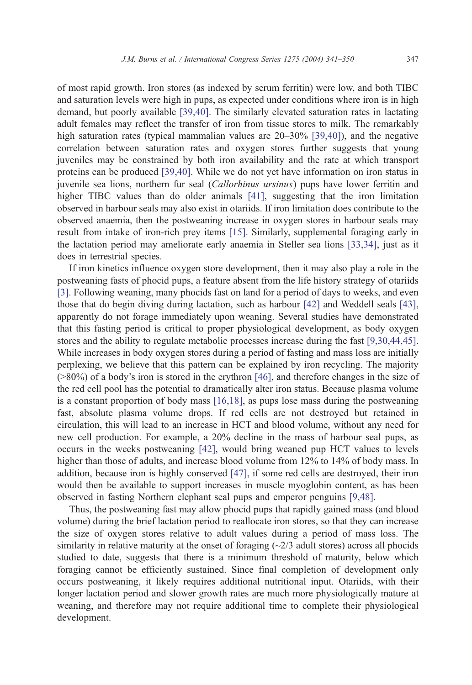of most rapid growth. Iron stores (as indexed by serum ferritin) were low, and both TIBC and saturation levels were high in pups, as expected under conditions where iron is in high demand, but poorly available [\[39,40\].](#page-8-0) The similarly elevated saturation rates in lactating adult females may reflect the transfer of iron from tissue stores to milk. The remarkably high saturation rates (typical mammalian values are 20–30% [\[39,40\]\)](#page-8-0), and the negative correlation between saturation rates and oxygen stores further suggests that young juveniles may be constrained by both iron availability and the rate at which transport proteins can be produced [\[39,40\].](#page-8-0) While we do not yet have information on iron status in juvenile sea lions, northern fur seal (Callorhinus ursinus) pups have lower ferritin and higher TIBC values than do older animals [\[41\],](#page-8-0) suggesting that the iron limitation observed in harbour seals may also exist in otariids. If iron limitation does contribute to the observed anaemia, then the postweaning increase in oxygen stores in harbour seals may result from intake of iron-rich prey items [\[15\].](#page-7-0) Similarly, supplemental foraging early in the lactation period may ameliorate early anaemia in Steller sea lions [\[33,34\],](#page-8-0) just as it does in terrestrial species.

If iron kinetics influence oxygen store development, then it may also play a role in the postweaning fasts of phocid pups, a feature absent from the life history strategy of otariids [\[3\]](#page-7-0). Following weaning, many phocids fast on land for a period of days to weeks, and even those that do begin diving during lactation, such as harbour [\[42\]](#page-8-0) and Weddell seals [\[43\],](#page-8-0) apparently do not forage immediately upon weaning. Several studies have demonstrated that this fasting period is critical to proper physiological development, as body oxygen stores and the ability to regulate metabolic processes increase during the fast [\[9,30,44,45\].](#page-7-0) While increases in body oxygen stores during a period of fasting and mass loss are initially perplexing, we believe that this pattern can be explained by iron recycling. The majority  $(0.80\%)$  of a body's iron is stored in the erythron [\[46\],](#page-9-0) and therefore changes in the size of the red cell pool has the potential to dramatically alter iron status. Because plasma volume is a constant proportion of body mass [\[16,18\],](#page-7-0) as pups lose mass during the postweaning fast, absolute plasma volume drops. If red cells are not destroyed but retained in circulation, this will lead to an increase in HCT and blood volume, without any need for new cell production. For example, a 20% decline in the mass of harbour seal pups, as occurs in the weeks postweaning [\[42\],](#page-8-0) would bring weaned pup HCT values to levels higher than those of adults, and increase blood volume from 12% to 14% of body mass. In addition, because iron is highly conserved [\[47\],](#page-9-0) if some red cells are destroyed, their iron would then be available to support increases in muscle myoglobin content, as has been observed in fasting Northern elephant seal pups and emperor penguins [\[9,48\].](#page-7-0)

Thus, the postweaning fast may allow phocid pups that rapidly gained mass (and blood volume) during the brief lactation period to reallocate iron stores, so that they can increase the size of oxygen stores relative to adult values during a period of mass loss. The similarity in relative maturity at the onset of foraging  $\langle \sim 2/3 \text{ adult stores} \rangle$  across all phocids studied to date, suggests that there is a minimum threshold of maturity, below which foraging cannot be efficiently sustained. Since final completion of development only occurs postweaning, it likely requires additional nutritional input. Otariids, with their longer lactation period and slower growth rates are much more physiologically mature at weaning, and therefore may not require additional time to complete their physiological development.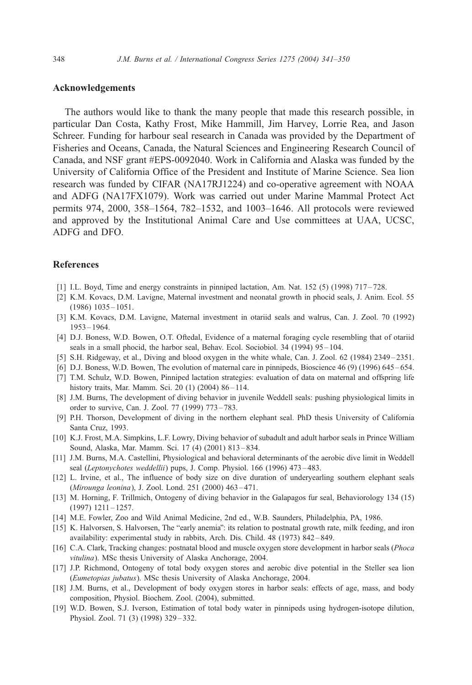### <span id="page-7-0"></span>Acknowledgements

The authors would like to thank the many people that made this research possible, in particular Dan Costa, Kathy Frost, Mike Hammill, Jim Harvey, Lorrie Rea, and Jason Schreer. Funding for harbour seal research in Canada was provided by the Department of Fisheries and Oceans, Canada, the Natural Sciences and Engineering Research Council of Canada, and NSF grant #EPS-0092040. Work in California and Alaska was funded by the University of California Office of the President and Institute of Marine Science. Sea lion research was funded by CIFAR (NA17RJ1224) and co-operative agreement with NOAA and ADFG (NA17FX1079). Work was carried out under Marine Mammal Protect Act permits 974, 2000, 358–1564, 782–1532, and 1003–1646. All protocols were reviewed and approved by the Institutional Animal Care and Use committees at UAA, UCSC, ADFG and DFO.

#### References

- [1] I.L. Boyd, Time and energy constraints in pinniped lactation, Am. Nat. 152 (5) (1998) 717 728.
- [2] K.M. Kovacs, D.M. Lavigne, Maternal investment and neonatal growth in phocid seals, J. Anim. Ecol. 55  $(1986)$  1035 – 1051.
- [3] K.M. Kovacs, D.M. Lavigne, Maternal investment in otariid seals and walrus, Can. J. Zool. 70 (1992) 1953 – 1964.
- [4] D.J. Boness, W.D. Bowen, O.T. Oftedal, Evidence of a maternal foraging cycle resembling that of otariid seals in a small phocid, the harbor seal, Behav. Ecol. Sociobiol. 34 (1994) 95 – 104.
- [5] S.H. Ridgeway, et al., Diving and blood oxygen in the white whale, Can. J. Zool. 62 (1984) 2349 2351.
- [6] D.J. Boness, W.D. Bowen, The evolution of maternal care in pinnipeds, Bioscience 46 (9) (1996) 645 654.
- [7] T.M. Schulz, W.D. Bowen, Pinniped lactation strategies: evaluation of data on maternal and offspring life history traits, Mar. Mamm. Sci. 20 (1) (2004) 86-114.
- [8] J.M. Burns, The development of diving behavior in juvenile Weddell seals: pushing physiological limits in order to survive, Can. J. Zool. 77 (1999) 773 – 783.
- [9] P.H. Thorson, Development of diving in the northern elephant seal. PhD thesis University of California Santa Cruz, 1993.
- [10] K.J. Frost, M.A. Simpkins, L.F. Lowry, Diving behavior of subadult and adult harbor seals in Prince William Sound, Alaska, Mar. Mamm. Sci. 17 (4) (2001) 813 – 834.
- [11] J.M. Burns, M.A. Castellini, Physiological and behavioral determinants of the aerobic dive limit in Weddell seal (Leptonychotes weddellii) pups, J. Comp. Physiol. 166 (1996) 473-483.
- [12] L. Irvine, et al., The influence of body size on dive duration of underyearling southern elephant seals (Mirounga leonina), J. Zool. Lond. 251 (2000) 463 – 471.
- [13] M. Horning, F. Trillmich, Ontogeny of diving behavior in the Galapagos fur seal, Behaviorology 134 (15) (1997) 1211 – 1257.
- [14] M.E. Fowler, Zoo and Wild Animal Medicine, 2nd ed., W.B. Saunders, Philadelphia, PA, 1986.
- [15] K. Halvorsen, S. Halvorsen, The "early anemia": its relation to postnatal growth rate, milk feeding, and iron availability: experimental study in rabbits, Arch. Dis. Child. 48 (1973) 842 – 849.
- [16] C.A. Clark, Tracking changes: postnatal blood and muscle oxygen store development in harbor seals (Phoca vitulina). MSc thesis University of Alaska Anchorage, 2004.
- [17] J.P. Richmond, Ontogeny of total body oxygen stores and aerobic dive potential in the Steller sea lion (Eumetopias jubatus). MSc thesis University of Alaska Anchorage, 2004.
- [18] J.M. Burns, et al., Development of body oxygen stores in harbor seals: effects of age, mass, and body composition, Physiol. Biochem. Zool. (2004), submitted.
- [19] W.D. Bowen, S.J. Iverson, Estimation of total body water in pinnipeds using hydrogen-isotope dilution, Physiol. Zool. 71 (3) (1998) 329 – 332.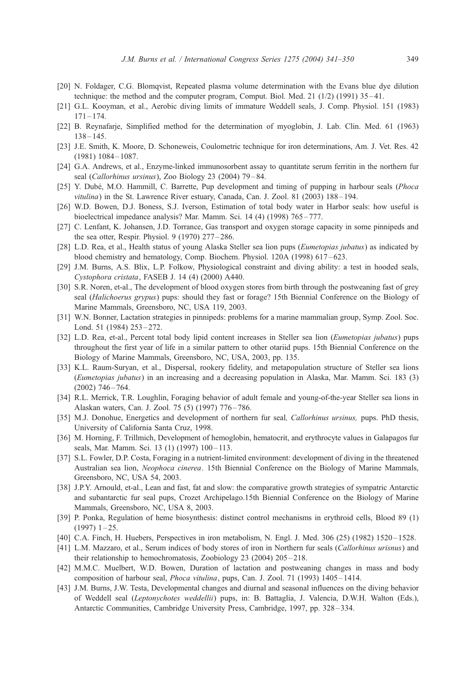- <span id="page-8-0"></span>[20] N. Foldager, C.G. Blomqvist, Repeated plasma volume determination with the Evans blue dye dilution technique: the method and the computer program, Comput. Biol. Med. 21 (1/2) (1991) 35 – 41.
- [21] G.L. Kooyman, et al., Aerobic diving limits of immature Weddell seals, J. Comp. Physiol. 151 (1983)  $171 - 174.$
- [22] B. Reynafarje, Simplified method for the determination of myoglobin, J. Lab. Clin. Med. 61 (1963)  $138 - 145.$
- [23] J.E. Smith, K. Moore, D. Schoneweis, Coulometric technique for iron determinations, Am. J. Vet. Res. 42 (1981) 1084 – 1087.
- [24] G.A. Andrews, et al., Enzyme-linked immunosorbent assay to quantitate serum ferritin in the northern fur seal (Callorhinus ursinus), Zoo Biology 23 (2004) 79–84.
- [25] Y. Dubé, M.O. Hammill, C. Barrette, Pup development and timing of pupping in harbour seals (Phoca vitulina) in the St. Lawrence River estuary, Canada, Can. J. Zool. 81 (2003) 188-194.
- [26] W.D. Bowen, D.J. Boness, S.J. Iverson, Estimation of total body water in Harbor seals: how useful is bioelectrical impedance analysis? Mar. Mamm. Sci. 14 (4) (1998) 765 – 777.
- [27] C. Lenfant, K. Johansen, J.D. Torrance, Gas transport and oxygen storage capacity in some pinnipeds and the sea otter, Respir. Physiol. 9 (1970) 277 – 286.
- [28] L.D. Rea, et al., Health status of young Alaska Steller sea lion pups (*Eumetopias jubatus*) as indicated by blood chemistry and hematology, Comp. Biochem. Physiol. 120A (1998) 617 – 623.
- [29] J.M. Burns, A.S. Blix, L.P. Folkow, Physiological constraint and diving ability: a test in hooded seals, Cystophora cristata, FASEB J. 14 (4) (2000) A440.
- [30] S.R. Noren, et-al., The development of blood oxygen stores from birth through the postweaning fast of grey seal (Halichoerus grypus) pups: should they fast or forage? 15th Biennial Conference on the Biology of Marine Mammals, Greensboro, NC, USA 119, 2003.
- [31] W.N. Bonner, Lactation strategies in pinnipeds: problems for a marine mammalian group, Symp. Zool. Soc. Lond. 51 (1984) 253 – 272.
- [32] L.D. Rea, et-al., Percent total body lipid content increases in Steller sea lion (*Eumetopias jubatus*) pups throughout the first year of life in a similar pattern to other otariid pups. 15th Biennial Conference on the Biology of Marine Mammals, Greensboro, NC, USA, 2003, pp. 135.
- [33] K.L. Raum-Suryan, et al., Dispersal, rookery fidelity, and metapopulation structure of Steller sea lions (Eumetopias jubatus) in an increasing and a decreasing population in Alaska, Mar. Mamm. Sci. 183 (3)  $(2002)$  746 – 764.
- [34] R.L. Merrick, T.R. Loughlin, Foraging behavior of adult female and young-of-the-year Steller sea lions in Alaskan waters, Can. J. Zool. 75 (5) (1997) 776 – 786.
- [35] M.J. Donohue, Energetics and development of northern fur seal, *Callorhinus ursinus*, pups. PhD thesis, University of California Santa Cruz, 1998.
- [36] M. Horning, F. Trillmich, Development of hemoglobin, hematocrit, and erythrocyte values in Galapagos fur seals, Mar. Mamm. Sci. 13 (1) (1997) 100-113.
- [37] S.L. Fowler, D.P. Costa, Foraging in a nutrient-limited environment: development of diving in the threatened Australian sea lion, Neophoca cinerea. 15th Biennial Conference on the Biology of Marine Mammals, Greensboro, NC, USA 54, 2003.
- [38] J.P.Y. Arnould, et-al., Lean and fast, fat and slow: the comparative growth strategies of sympatric Antarctic and subantarctic fur seal pups, Crozet Archipelago.15th Biennial Conference on the Biology of Marine Mammals, Greensboro, NC, USA 8, 2003.
- [39] P. Ponka, Regulation of heme biosynthesis: distinct control mechanisms in erythroid cells, Blood 89 (1)  $(1997)$  1 – 25.
- [40] C.A. Finch, H. Huebers, Perspectives in iron metabolism, N. Engl. J. Med. 306 (25) (1982) 1520–1528.
- [41] L.M. Mazzaro, et al., Serum indices of body stores of iron in Northern fur seals (Callorhinus urisnus) and their relationship to hemochromatosis, Zoobiology 23 (2004) 205 – 218.
- [42] M.M.C. Muelbert, W.D. Bowen, Duration of lactation and postweaning changes in mass and body composition of harbour seal, Phoca vitulina, pups, Can. J. Zool. 71 (1993) 1405 – 1414.
- [43] J.M. Burns, J.W. Testa, Developmental changes and diurnal and seasonal influences on the diving behavior of Weddell seal (Leptonychotes weddellii) pups, in: B. Battaglia, J. Valencia, D.W.H. Walton (Eds.), Antarctic Communities, Cambridge University Press, Cambridge, 1997, pp. 328 – 334.